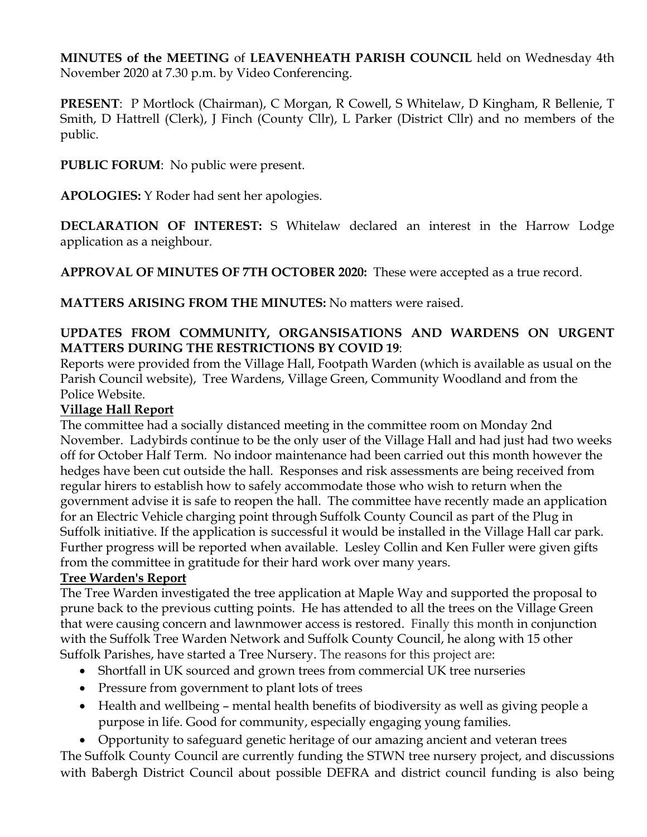**MINUTES of the MEETING** of **LEAVENHEATH PARISH COUNCIL** held on Wednesday 4th November 2020 at 7.30 p.m. by Video Conferencing.

**PRESENT**: P Mortlock (Chairman), C Morgan, R Cowell, S Whitelaw, D Kingham, R Bellenie, T Smith, D Hattrell (Clerk), J Finch (County Cllr), L Parker (District Cllr) and no members of the public.

**PUBLIC FORUM**: No public were present.

**APOLOGIES:** Y Roder had sent her apologies.

**DECLARATION OF INTEREST:** S Whitelaw declared an interest in the Harrow Lodge application as a neighbour.

**APPROVAL OF MINUTES OF 7TH OCTOBER 2020:** These were accepted as a true record.

**MATTERS ARISING FROM THE MINUTES:** No matters were raised.

## **UPDATES FROM COMMUNITY, ORGANSISATIONS AND WARDENS ON URGENT MATTERS DURING THE RESTRICTIONS BY COVID 19**:

Reports were provided from the Village Hall, Footpath Warden (which is available as usual on the Parish Council website), Tree Wardens, Village Green, Community Woodland and from the Police Website.

## **Village Hall Report**

The committee had a socially distanced meeting in the committee room on Monday 2nd November. Ladybirds continue to be the only user of the Village Hall and had just had two weeks off for October Half Term. No indoor maintenance had been carried out this month however the hedges have been cut outside the hall. Responses and risk assessments are being received from regular hirers to establish how to safely accommodate those who wish to return when the government advise it is safe to reopen the hall. The committee have recently made an application for an Electric Vehicle charging point through Suffolk County Council as part of the Plug in Suffolk initiative. If the application is successful it would be installed in the Village Hall car park. Further progress will be reported when available. Lesley Collin and Ken Fuller were given gifts from the committee in gratitude for their hard work over many years.

## **Tree Warden's Report**

The Tree Warden investigated the tree application at Maple Way and supported the proposal to prune back to the previous cutting points. He has attended to all the trees on the Village Green that were causing concern and lawnmower access is restored. Finally this month in conjunction with the Suffolk Tree Warden Network and Suffolk County Council, he along with 15 other Suffolk Parishes, have started a Tree Nursery. The reasons for this project are:

- Shortfall in UK sourced and grown trees from commercial UK tree nurseries
- Pressure from government to plant lots of trees
- Health and wellbeing mental health benefits of biodiversity as well as giving people a purpose in life. Good for community, especially engaging young families.

• Opportunity to safeguard genetic heritage of our amazing ancient and veteran trees The Suffolk County Council are currently funding the STWN tree nursery project, and discussions with Babergh District Council about possible DEFRA and district council funding is also being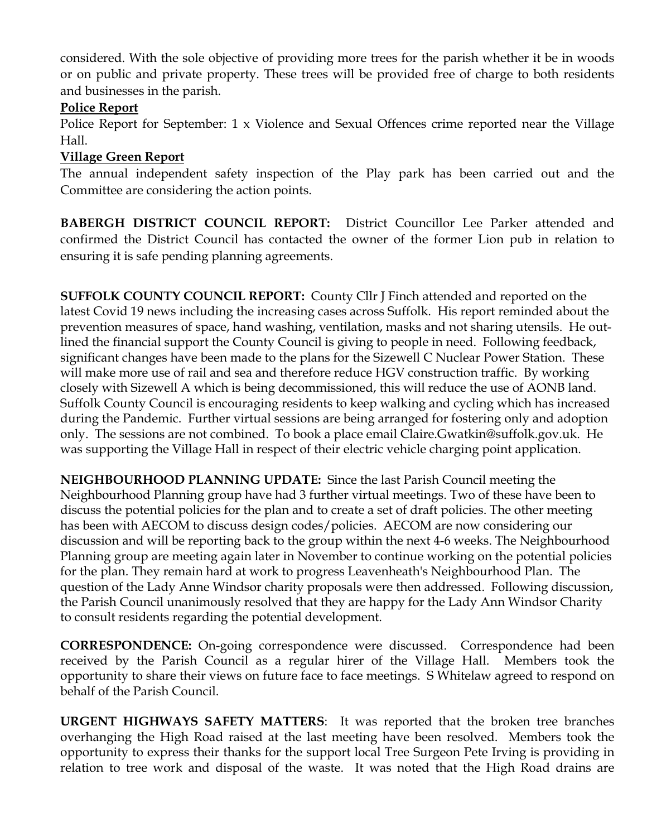considered. With the sole objective of providing more trees for the parish whether it be in woods or on public and private property. These trees will be provided free of charge to both residents and businesses in the parish.

# **Police Report**

Police Report for September: 1 x Violence and Sexual Offences crime reported near the Village Hall.

# **Village Green Report**

The annual independent safety inspection of the Play park has been carried out and the Committee are considering the action points.

**BABERGH DISTRICT COUNCIL REPORT:** District Councillor Lee Parker attended and confirmed the District Council has contacted the owner of the former Lion pub in relation to ensuring it is safe pending planning agreements.

**SUFFOLK COUNTY COUNCIL REPORT:** County Cllr J Finch attended and reported on the latest Covid 19 news including the increasing cases across Suffolk. His report reminded about the prevention measures of space, hand washing, ventilation, masks and not sharing utensils. He outlined the financial support the County Council is giving to people in need. Following feedback, significant changes have been made to the plans for the Sizewell C Nuclear Power Station. These will make more use of rail and sea and therefore reduce HGV construction traffic. By working closely with Sizewell A which is being decommissioned, this will reduce the use of AONB land. Suffolk County Council is encouraging residents to keep walking and cycling which has increased during the Pandemic. Further virtual sessions are being arranged for fostering only and adoption only. The sessions are not combined. To book a place email Claire.Gwatkin@suffolk.gov.uk. He was supporting the Village Hall in respect of their electric vehicle charging point application.

**NEIGHBOURHOOD PLANNING UPDATE:** Since the last Parish Council meeting the Neighbourhood Planning group have had 3 further virtual meetings. Two of these have been to discuss the potential policies for the plan and to create a set of draft policies. The other meeting has been with AECOM to discuss design codes/policies. AECOM are now considering our discussion and will be reporting back to the group within the next 4-6 weeks. The Neighbourhood Planning group are meeting again later in November to continue working on the potential policies for the plan. They remain hard at work to progress Leavenheath's Neighbourhood Plan. The question of the Lady Anne Windsor charity proposals were then addressed. Following discussion, the Parish Council unanimously resolved that they are happy for the Lady Ann Windsor Charity to consult residents regarding the potential development.

**CORRESPONDENCE:** On-going correspondence were discussed. Correspondence had been received by the Parish Council as a regular hirer of the Village Hall. Members took the opportunity to share their views on future face to face meetings. S Whitelaw agreed to respond on behalf of the Parish Council.

**URGENT HIGHWAYS SAFETY MATTERS**: It was reported that the broken tree branches overhanging the High Road raised at the last meeting have been resolved. Members took the opportunity to express their thanks for the support local Tree Surgeon Pete Irving is providing in relation to tree work and disposal of the waste. It was noted that the High Road drains are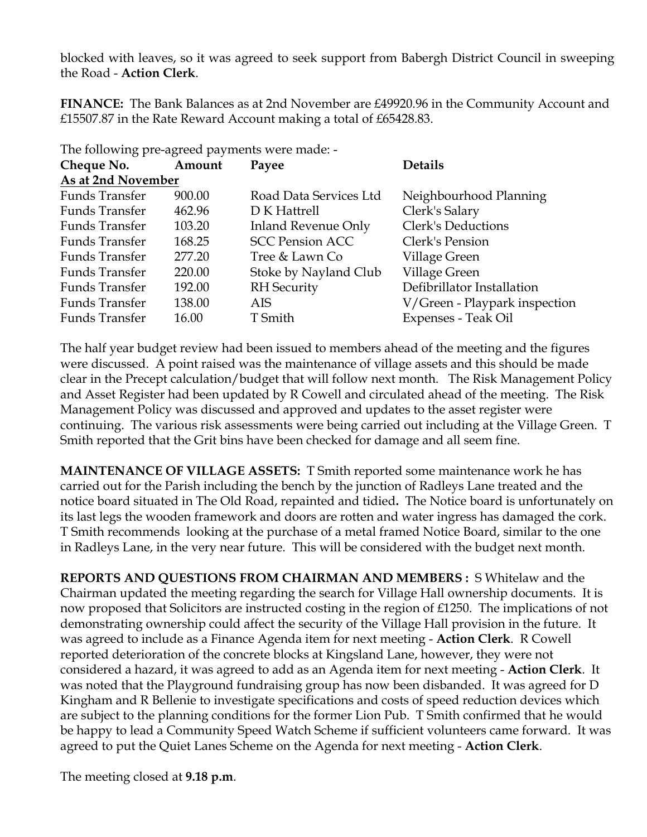blocked with leaves, so it was agreed to seek support from Babergh District Council in sweeping the Road - **Action Clerk**.

**FINANCE:** The Bank Balances as at 2nd November are £49920.96 in the Community Account and £15507.87 in the Rate Reward Account making a total of £65428.83.

The following pre-agreed payments were made: -

| Cheque No.            | Amount | Payee                      | <b>Details</b>                |
|-----------------------|--------|----------------------------|-------------------------------|
| As at 2nd November    |        |                            |                               |
| Funds Transfer        | 900.00 | Road Data Services Ltd     | Neighbourhood Planning        |
| Funds Transfer        | 462.96 | D K Hattrell               | Clerk's Salary                |
| Funds Transfer        | 103.20 | <b>Inland Revenue Only</b> | Clerk's Deductions            |
| Funds Transfer        | 168.25 | <b>SCC Pension ACC</b>     | Clerk's Pension               |
| Funds Transfer        | 277.20 | Tree & Lawn Co             | Village Green                 |
| Funds Transfer        | 220.00 | Stoke by Nayland Club      | Village Green                 |
| <b>Funds Transfer</b> | 192.00 | <b>RH</b> Security         | Defibrillator Installation    |
| Funds Transfer        | 138.00 | <b>AIS</b>                 | V/Green - Playpark inspection |
| Funds Transfer        | 16.00  | T Smith                    | Expenses - Teak Oil           |

The half year budget review had been issued to members ahead of the meeting and the figures were discussed. A point raised was the maintenance of village assets and this should be made clear in the Precept calculation/budget that will follow next month. The Risk Management Policy and Asset Register had been updated by R Cowell and circulated ahead of the meeting. The Risk Management Policy was discussed and approved and updates to the asset register were continuing. The various risk assessments were being carried out including at the Village Green. T Smith reported that the Grit bins have been checked for damage and all seem fine.

**MAINTENANCE OF VILLAGE ASSETS:** T Smith reported some maintenance work he has carried out for the Parish including the bench by the junction of Radleys Lane treated and the notice board situated in The Old Road, repainted and tidied**.** The Notice board is unfortunately on its last legs the wooden framework and doors are rotten and water ingress has damaged the cork. T Smith recommends looking at the purchase of a metal framed Notice Board, similar to the one in Radleys Lane, in the very near future. This will be considered with the budget next month.

**REPORTS AND QUESTIONS FROM CHAIRMAN AND MEMBERS :** S Whitelaw and the Chairman updated the meeting regarding the search for Village Hall ownership documents. It is now proposed that Solicitors are instructed costing in the region of £1250. The implications of not demonstrating ownership could affect the security of the Village Hall provision in the future. It was agreed to include as a Finance Agenda item for next meeting - **Action Clerk**. R Cowell reported deterioration of the concrete blocks at Kingsland Lane, however, they were not considered a hazard, it was agreed to add as an Agenda item for next meeting - **Action Clerk**. It was noted that the Playground fundraising group has now been disbanded. It was agreed for D Kingham and R Bellenie to investigate specifications and costs of speed reduction devices which are subject to the planning conditions for the former Lion Pub. T Smith confirmed that he would be happy to lead a Community Speed Watch Scheme if sufficient volunteers came forward. It was agreed to put the Quiet Lanes Scheme on the Agenda for next meeting - **Action Clerk**.

The meeting closed at **9.18 p.m**.